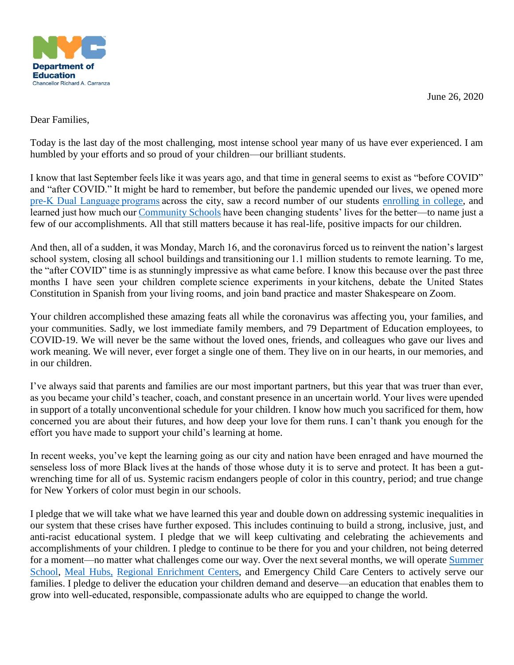June 26, 2020



## Dear Families,

Today is the last day of the most challenging, most intense school year many of us have ever experienced. I am humbled by your efforts and so proud of your children—our brilliant students.

I know that last September feels like it was years ago, and that time in general seems to exist as "before COVID" and "after COVID." It might be hard to remember, but before the pandemic upended our lives, we opened more [pre-K Dual Language programs a](https://www1.nyc.gov/office-of-the-mayor/news/077-19/mayor-de-blasio-chancellor-carranza-47-new-pre-k-dual-language-programs-across-every#/0)cross the city, saw a record number of our students [enrolling in college,](https://www1.nyc.gov/office-of-the-mayor/news/560-19/mayor-de-blasio-chancellor-carranza-record-high-48-782-new-york-city-students#/0) and learned just how much our[Community Schools h](https://www1.nyc.gov/office-of-the-mayor/news/046-20/mayor-de-blasio-chancellor-carranza-success-community-schools-increased-academic#/0)ave been changing students' lives for the better—to name just a few of our accomplishments. All that still matters because it has real-life, positive impacts for our children.

And then, all of a sudden, it was Monday, March 16, and the coronavirus forced us to reinvent the nation's largest school system, closing all school buildings and transitioning our 1.1 million students to remote learning. To me, the "after COVID" time is as stunningly impressive as what came before. I know this because over the past three months I have seen your children complete science experiments in your kitchens, debate the United States Constitution in Spanish from your living rooms, and join band practice and master Shakespeare on Zoom.

Your children accomplished these amazing feats all while the coronavirus was affecting you, your families, and your communities. Sadly, we lost immediate family members, and 79 Department of Education employees, to COVID-19. We will never be the same without the loved ones, friends, and colleagues who gave our lives and work meaning. We will never, ever forget a single one of them. They live on in our hearts, in our memories, and in our children.

I've always said that parents and families are our most important partners, but this year that was truer than ever, as you became your child's teacher, coach, and constant presence in an uncertain world. Your lives were upended in support of a totally unconventional schedule for your children. I know how much you sacrificed for them, how concerned you are about their futures, and how deep your love for them runs. I can't thank you enough for the effort you have made to support your child's learning at home.

In recent weeks, you've kept the learning going as our city and nation have been enraged and have mourned the senseless loss of more Black lives at the hands of those whose duty it is to serve and protect. It has been a gutwrenching time for all of us. Systemic racism endangers people of color in this country, period; and true change for New Yorkers of color must begin in our schools.

I pledge that we will take what we have learned this year and double down on addressing systemic inequalities in our system that these crises have further exposed. This includes continuing to build a strong, inclusive, just, and anti-racist educational system. I pledge that we will keep cultivating and celebrating the achievements and accomplishments of your children. I pledge to continue to be there for you and your children, not being deterred for a moment—no matter what challenges come our way. Over the next several months, we will operate [Summer](https://www.schools.nyc.gov/enrollment/summer-school-2020)  [School,](https://www.schools.nyc.gov/enrollment/summer-school-2020) [Meal Hubs,](https://www.schools.nyc.gov/school-life/food/free-meals) [Regional Enrichment Centers,](https://www.schools.nyc.gov/enrollment/enrollment-help/regional-enrichment-centers) and Emergency Child Care Centers to actively serve our families. I pledge to deliver the education your children demand and deserve—an education that enables them to grow into well-educated, responsible, compassionate adults who are equipped to change the world.